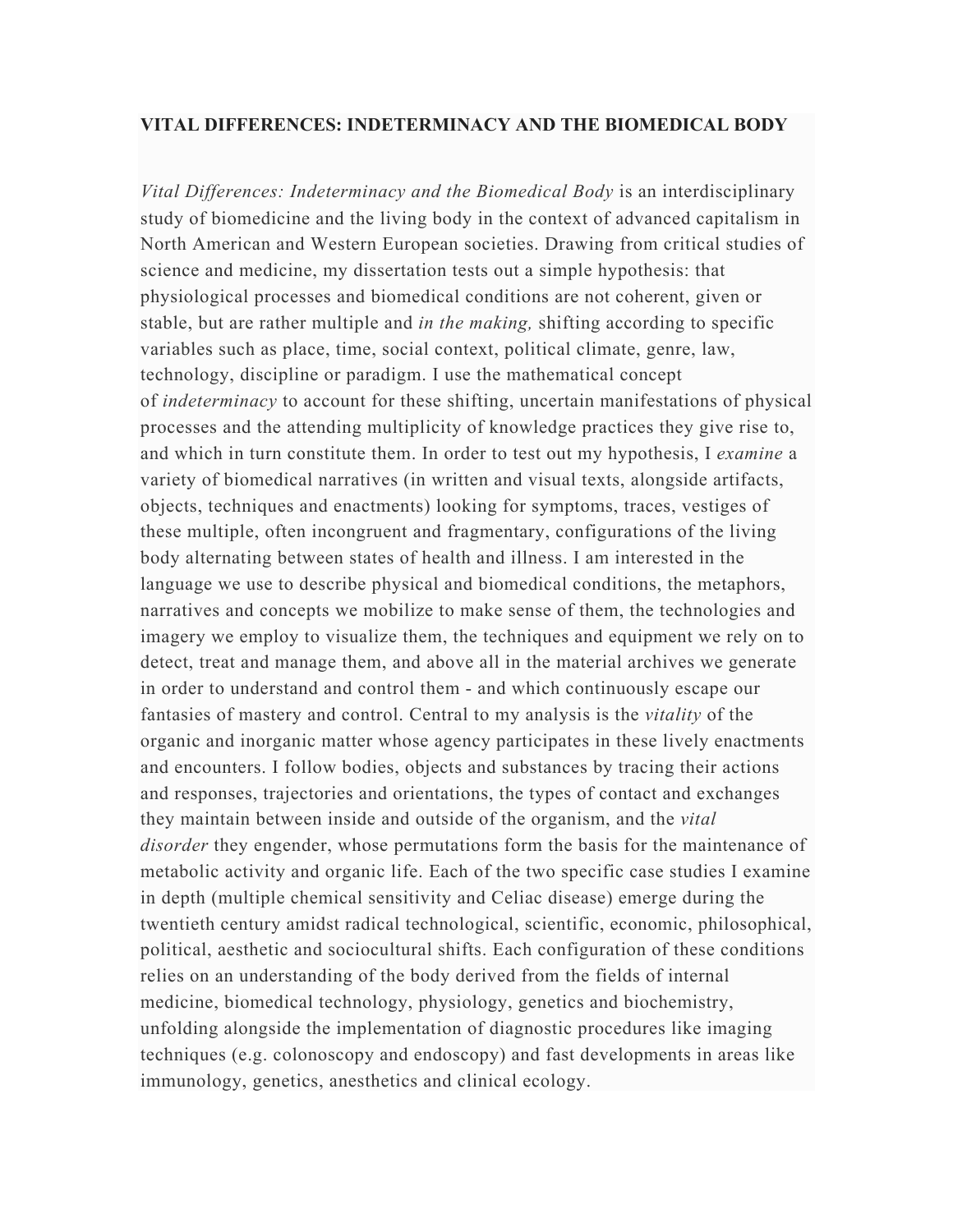## **VITAL DIFFERENCES: INDETERMINACY AND THE BIOMEDICAL BODY**

*Vital Differences: Indeterminacy and the Biomedical Body* is an interdisciplinary study of biomedicine and the living body in the context of advanced capitalism in North American and Western European societies. Drawing from critical studies of science and medicine, my dissertation tests out a simple hypothesis: that physiological processes and biomedical conditions are not coherent, given or stable, but are rather multiple and *in the making,* shifting according to specific variables such as place, time, social context, political climate, genre, law, technology, discipline or paradigm. I use the mathematical concept of *indeterminacy* to account for these shifting, uncertain manifestations of physical processes and the attending multiplicity of knowledge practices they give rise to, and which in turn constitute them. In order to test out my hypothesis, I *examine* a variety of biomedical narratives (in written and visual texts, alongside artifacts, objects, techniques and enactments) looking for symptoms, traces, vestiges of these multiple, often incongruent and fragmentary, configurations of the living body alternating between states of health and illness. I am interested in the language we use to describe physical and biomedical conditions, the metaphors, narratives and concepts we mobilize to make sense of them, the technologies and imagery we employ to visualize them, the techniques and equipment we rely on to detect, treat and manage them, and above all in the material archives we generate in order to understand and control them - and which continuously escape our fantasies of mastery and control. Central to my analysis is the *vitality* of the organic and inorganic matter whose agency participates in these lively enactments and encounters. I follow bodies, objects and substances by tracing their actions and responses, trajectories and orientations, the types of contact and exchanges they maintain between inside and outside of the organism, and the *vital disorder* they engender, whose permutations form the basis for the maintenance of metabolic activity and organic life. Each of the two specific case studies I examine in depth (multiple chemical sensitivity and Celiac disease) emerge during the twentieth century amidst radical technological, scientific, economic, philosophical, political, aesthetic and sociocultural shifts. Each configuration of these conditions relies on an understanding of the body derived from the fields of internal medicine, biomedical technology, physiology, genetics and biochemistry, unfolding alongside the implementation of diagnostic procedures like imaging techniques (e.g. colonoscopy and endoscopy) and fast developments in areas like immunology, genetics, anesthetics and clinical ecology.